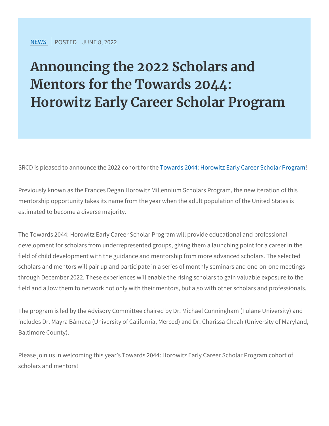[NEW](https://www.srcd.org/news)SPOSTEURNE 8, 2022

Announcing the 2022 Scholars a Mentors for the Towards 2044: Horowitz Early Career Scholar P

SRCD is pleased to announce the w2a0r2d2s 2ooMandert **Hor**otwietz Early Caree

Previously known as the Frances Degan Horowitz Millennium Schola mentorship opportunity takes its name from the year when the adult estimated to become a diverse majority.

The Towards 2044: Horowitz Early Career Scholar Program will prov development for scholars from underrepresented groups, giving the field of child development with the guidance and mentorship from m scholars and mentors will pair up and participate in a series of mor through December 2022. These experiences will enable the rising s field and allow them to network not only with their mentors, but als

The program is led by the Advisory Committee chaired by Dr. Micha includes Dr. Mayra Bámaca (University of California, Merced) and D Baltimore County).

Please join us in welcoming this year s Towards 2044: Horowitz Early scholars and mentors!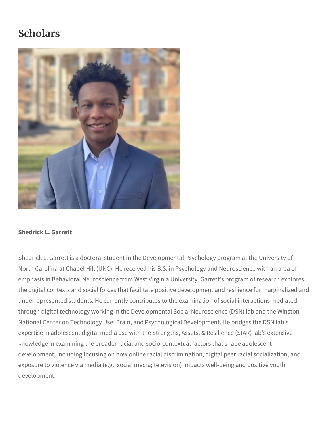# **Scholars**



# **Shedrick L. Garrett**

Shedrick L. Garrett is a doctoral student in the Developmental Psychology program at the University of North Carolina at Chapel Hill (UNC). He received his B.S. in Psychology and Neuroscience with an area of emphasis in Behavioral Neuroscience from West Virginia University. Garrett's program of research explores the digital contexts and social forces that facilitate positive development and resilience for marginalized and underrepresented students. He currently contributes to the examination of social interactions mediated through digital technology working in the Developmental Social Neuroscience (DSN) lab and the Winston National Center on Technology Use, Brain, and Psychological Development. He bridges the DSN lab's expertise in adolescent digital media use with the Strengths, Assets, & Resilience (StAR) lab's extensive knowledge in examining the broader racial and socio-contextual factors that shape adolescent development, including focusing on how online racial discrimination, digital peer racial socialization, and exposure to violence via media (e.g., social media; television) impacts well-being and positive youth development.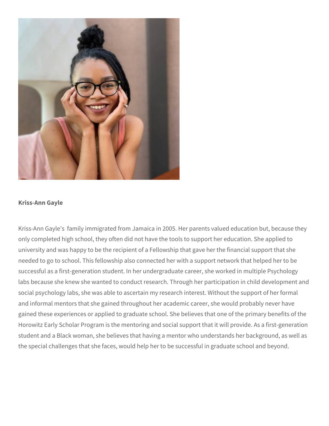

#### **Kriss-Ann Gayle**

Kriss-Ann Gayle's family immigrated from Jamaica in 2005. Her parents valued education but, because they only completed high school, they often did not have the tools to support her education. She applied to university and was happy to be the recipient of a Fellowship that gave her the financial support that she needed to go to school. This fellowship also connected her with a support network that helped her to be successful as a first-generation student. In her undergraduate career, she worked in multiple Psychology labs because she knew she wanted to conduct research. Through her participation in child development and social psychology labs, she was able to ascertain my research interest. Without the support of her formal and informal mentors that she gained throughout her academic career, she would probably never have gained these experiences or applied to graduate school. She believes that one of the primary benefits of the Horowitz Early Scholar Program is the mentoring and social support that it will provide. As a first-generation student and a Black woman, she believes that having a mentor who understands her background, as well as the special challenges that she faces, would help her to be successful in graduate school and beyond.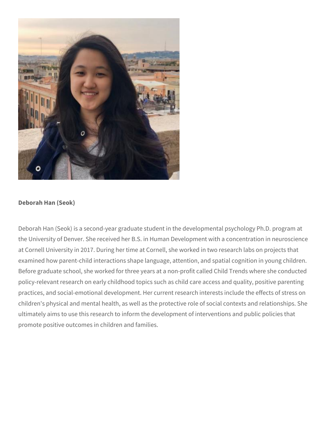

# **Deborah Han (Seok)**

Deborah Han (Seok) is a second-year graduate student in the developmental psychology Ph.D. program at the University of Denver. She received her B.S. in Human Development with a concentration in neuroscience at Cornell University in 2017. During her time at Cornell, she worked in two research labs on projects that examined how parent-child interactions shape language, attention, and spatial cognition in young children. Before graduate school, she worked for three years at a non-profit called Child Trends where she conducted policy-relevant research on early childhood topics such as child care access and quality, positive parenting practices, and social-emotional development. Her current research interests include the effects of stress on children's physical and mental health, as well as the protective role of social contexts and relationships. She ultimately aims to use this research to inform the development of interventions and public policies that promote positive outcomes in children and families.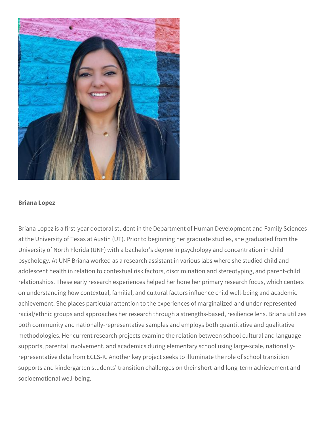

#### **Briana Lopez**

Briana Lopez is a first-year doctoral student in the Department of Human Development and Family Sciences at the University of Texas at Austin (UT). Prior to beginning her graduate studies, she graduated from the University of North Florida (UNF) with a bachelor's degree in psychology and concentration in child psychology. At UNF Briana worked as a research assistant in various labs where she studied child and adolescent health in relation to contextual risk factors, discrimination and stereotyping, and parent-child relationships. These early research experiences helped her hone her primary research focus, which centers on understanding how contextual, familial, and cultural factors influence child well-being and academic achievement. She places particular attention to the experiences of marginalized and under-represented racial/ethnic groups and approaches her research through a strengths-based, resilience lens. Briana utilizes both community and nationally-representative samples and employs both quantitative and qualitative methodologies. Her current research projects examine the relation between school cultural and language supports, parental involvement, and academics during elementary school using large-scale, nationallyrepresentative data from ECLS-K. Another key project seeks to illuminate the role of school transition supports and kindergarten students' transition challenges on their short-and long-term achievement and socioemotional well-being.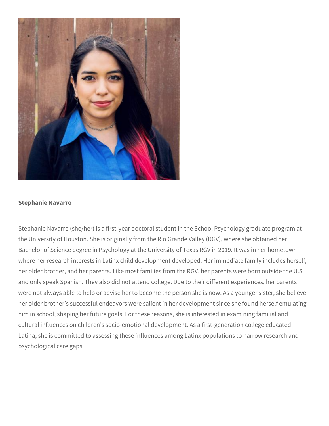

# **Stephanie Navarro**

Stephanie Navarro (she/her) is a first-year doctoral student in the School Psychology graduate program at the University of Houston. She is originally from the Rio Grande Valley (RGV), where she obtained her Bachelor of Science degree in Psychology at the University of Texas RGV in 2019. It was in her hometown where her research interests in Latinx child development developed. Her immediate family includes herself, her older brother, and her parents. Like most families from the RGV, her parents were born outside the U.S and only speak Spanish. They also did not attend college. Due to their different experiences, her parents were not always able to help or advise her to become the person she is now. As a younger sister, she believe her older brother's successful endeavors were salient in her development since she found herself emulating him in school, shaping her future goals. For these reasons, she is interested in examining familial and cultural influences on children's socio-emotional development. As a first-generation college educated Latina, she is committed to assessing these influences among Latinx populations to narrow research and psychological care gaps.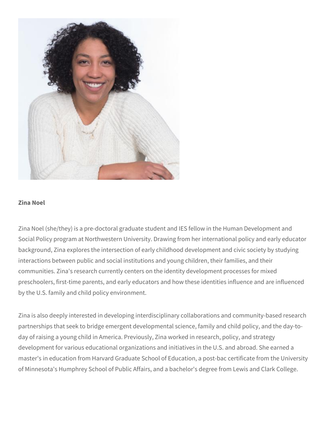

#### **Zina Noel**

Zina Noel (she/they) is a pre-doctoral graduate student and IES fellow in the Human Development and Social Policy program at Northwestern University. Drawing from her international policy and early educator background, Zina explores the intersection of early childhood development and civic society by studying interactions between public and social institutions and young children, their families, and their communities. Zina's research currently centers on the identity development processes for mixed preschoolers, first-time parents, and early educators and how these identities influence and are influenced by the U.S. family and child policy environment.

Zina is also deeply interested in developing interdisciplinary collaborations and community-based research partnerships that seek to bridge emergent developmental science, family and child policy, and the day-today of raising a young child in America. Previously, Zina worked in research, policy, and strategy development for various educational organizations and initiatives in the U.S. and abroad. She earned a master's in education from Harvard Graduate School of Education, a post-bac certificate from the University of Minnesota's Humphrey School of Public Affairs, and a bachelor's degree from Lewis and Clark College.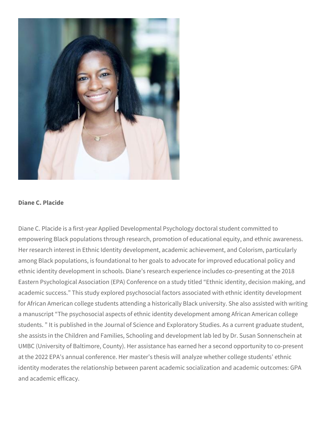

#### **Diane C. Placide**

Diane C. Placide is a first-year Applied Developmental Psychology doctoral student committed to empowering Black populations through research, promotion of educational equity, and ethnic awareness. Her research interest in Ethnic Identity development, academic achievement, and Colorism, particularly among Black populations, is foundational to her goals to advocate for improved educational policy and ethnic identity development in schools. Diane's research experience includes co-presenting at the 2018 Eastern Psychological Association (EPA) Conference on a study titled "Ethnic identity, decision making, and academic success." This study explored psychosocial factors associated with ethnic identity development for African American college students attending a historically Black university. She also assisted with writing a manuscript "The psychosocial aspects of ethnic identity development among African American college students. " It is published in the Journal of Science and Exploratory Studies. As a current graduate student, she assists in the Children and Families, Schooling and development lab led by Dr. Susan Sonnenschein at UMBC (University of Baltimore, County). Her assistance has earned her a second opportunity to co-present at the 2022 EPA's annual conference. Her master's thesis will analyze whether college students' ethnic identity moderates the relationship between parent academic socialization and academic outcomes: GPA and academic efficacy.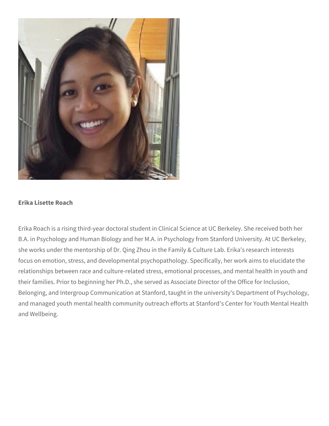

# **Erika Lisette Roach**

Erika Roach is a rising third-year doctoral student in Clinical Science at UC Berkeley. She received both her B.A. in Psychology and Human Biology and her M.A. in Psychology from Stanford University. At UC Berkeley, she works under the mentorship of Dr. Qing Zhou in the Family & Culture Lab. Erika's research interests focus on emotion, stress, and developmental psychopathology. Specifically, her work aims to elucidate the relationships between race and culture-related stress, emotional processes, and mental health in youth and their families. Prior to beginning her Ph.D., she served as Associate Director of the Office for Inclusion, Belonging, and Intergroup Communication at Stanford, taught in the university's Department of Psychology, and managed youth mental health community outreach efforts at Stanford's Center for Youth Mental Health and Wellbeing.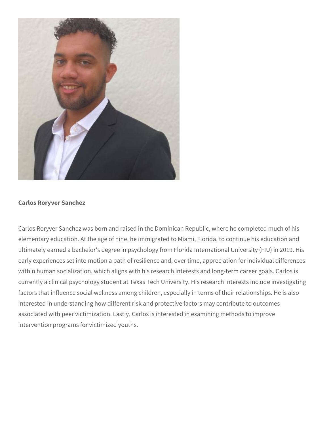

# **Carlos Roryver Sanchez**

Carlos Roryver Sanchez was born and raised in the Dominican Republic, where he completed much of his elementary education. At the age of nine, he immigrated to Miami, Florida, to continue his education and ultimately earned a bachelor's degree in psychology from Florida International University (FIU) in 2019. His early experiences set into motion a path of resilience and, over time, appreciation for individual differences within human socialization, which aligns with his research interests and long-term career goals. Carlos is currently a clinical psychology student at Texas Tech University. His research interests include investigating factors that influence social wellness among children, especially in terms of their relationships. He is also interested in understanding how different risk and protective factors may contribute to outcomes associated with peer victimization. Lastly, Carlos is interested in examining methods to improve intervention programs for victimized youths.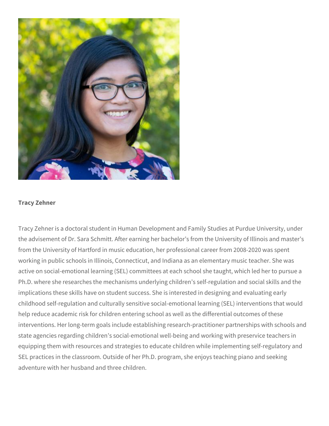

# **Tracy Zehner**

Tracy Zehner is a doctoral student in Human Development and Family Studies at Purdue University, under the advisement of Dr. Sara Schmitt. After earning her bachelor's from the University of Illinois and master's from the University of Hartford in music education, her professional career from 2008-2020 was spent working in public schools in Illinois, Connecticut, and Indiana as an elementary music teacher. She was active on social-emotional learning (SEL) committees at each school she taught, which led her to pursue a Ph.D. where she researches the mechanisms underlying children's self-regulation and social skills and the implications these skills have on student success. She is interested in designing and evaluating early childhood self-regulation and culturally sensitive social-emotional learning (SEL) interventions that would help reduce academic risk for children entering school as well as the differential outcomes of these interventions. Her long-term goals include establishing research-practitioner partnerships with schools and state agencies regarding children's social-emotional well-being and working with preservice teachers in equipping them with resources and strategies to educate children while implementing self-regulatory and SEL practices in the classroom. Outside of her Ph.D. program, she enjoys teaching piano and seeking adventure with her husband and three children.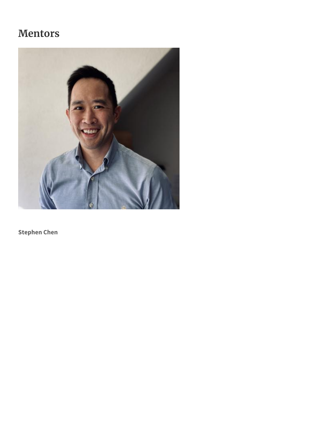# **Mentors**



**Stephen Chen**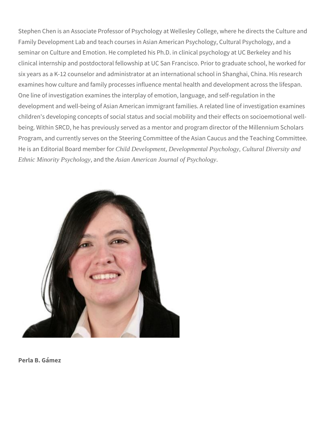Stephen Chen is an Associate Professor of Psychology at Wellesley College, where he directs the Culture and Family Development Lab and teach courses in Asian American Psychology, Cultural Psychology, and a seminar on Culture and Emotion. He completed his Ph.D. in clinical psychology at UC Berkeley and his clinical internship and postdoctoral fellowship at UC San Francisco. Prior to graduate school, he worked for six years as a K-12 counselor and administrator at an international school in Shanghai, China. His research examines how culture and family processes influence mental health and development across the lifespan. One line of investigation examines the interplay of emotion, language, and self-regulation in the development and well-being of Asian American immigrant families. A related line of investigation examines children's developing concepts of social status and social mobility and their effects on socioemotional wellbeing. Within SRCD, he has previously served as a mentor and program director of the Millennium Scholars Program, and currently serves on the Steering Committee of the Asian Caucus and the Teaching Committee. He is an Editorial Board member for *Child Development, Developmental Psychology, Cultural Diversity and Ethnic Minority Psychology*, and the *Asian American Journal of Psychology*.



**Perla B. Gámez**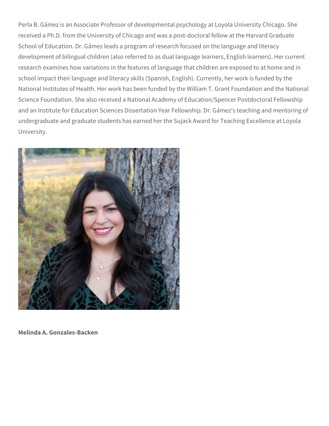Perla B. Gámez is an Associate Professor of developmental psychology at Loyola University Chicago. She received a Ph.D. from the University of Chicago and was a post-doctoral fellow at the Harvard Graduate School of Education. Dr. Gámez leads a program of research focused on the language and literacy development of bilingual children (also referred to as dual language learners, English learners). Her current research examines how variations in the features of language that children are exposed to at home and in school impact their language and literacy skills (Spanish, English). Currently, her work is funded by the National Institutes of Health. Her work has been funded by the William T. Grant Foundation and the National Science Foundation. She also received a National Academy of Education/Spencer Postdoctoral Fellowship and an Institute for Education Sciences Dissertation Year Fellowship. Dr. Gámez's teaching and mentoring of undergraduate and graduate students has earned her the Sujack Award for Teaching Excellence at Loyola University.



**Melinda A. Gonzales-Backen**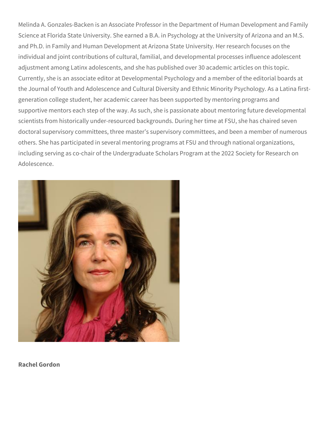Melinda A. Gonzales-Backen is an Associate Professor in the Department of Human Development and Family Science at Florida State University. She earned a B.A. in Psychology at the University of Arizona and an M.S. and Ph.D. in Family and Human Development at Arizona State University. Her research focuses on the individual and joint contributions of cultural, familial, and developmental processes influence adolescent adjustment among Latinx adolescents, and she has published over 30 academic articles on this topic. Currently, she is an associate editor at Developmental Psychology and a member of the editorial boards at the Journal of Youth and Adolescence and Cultural Diversity and Ethnic Minority Psychology. As a Latina firstgeneration college student, her academic career has been supported by mentoring programs and supportive mentors each step of the way. As such, she is passionate about mentoring future developmental scientists from historically under-resourced backgrounds. During her time at FSU, she has chaired seven doctoral supervisory committees, three master's supervisory committees, and been a member of numerous others. She has participated in several mentoring programs at FSU and through national organizations, including serving as co-chair of the Undergraduate Scholars Program at the 2022 Society for Research on Adolescence.



**Rachel Gordon**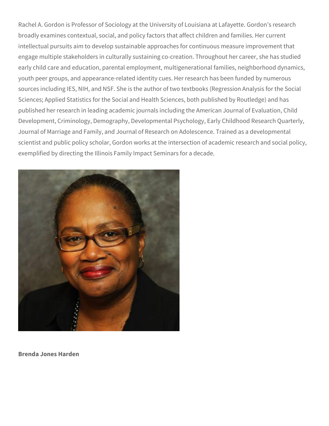Rachel A. Gordon is Professor of Sociology at the University of Louisiana at Lafayette. Gordon's research broadly examines contextual, social, and policy factors that affect children and families. Her current intellectual pursuits aim to develop sustainable approaches for continuous measure improvement that engage multiple stakeholders in culturally sustaining co-creation. Throughout her career, she has studied early child care and education, parental employment, multigenerational families, neighborhood dynamics, youth peer groups, and appearance-related identity cues. Her research has been funded by numerous sources including IES, NIH, and NSF. She is the author of two textbooks (Regression Analysis for the Social Sciences; Applied Statistics for the Social and Health Sciences, both published by Routledge) and has published her research in leading academic journals including the American Journal of Evaluation, Child Development, Criminology, Demography, Developmental Psychology, Early Childhood Research Quarterly, Journal of Marriage and Family, and Journal of Research on Adolescence. Trained as a developmental scientist and public policy scholar, Gordon works at the intersection of academic research and social policy, exemplified by directing the Illinois Family Impact Seminars for a decade.



**Brenda Jones Harden**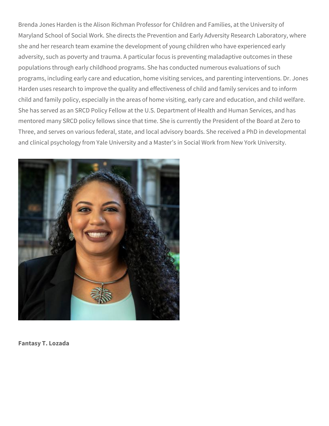Brenda Jones Harden is the Alison Richman Professor for Children and Families, at the University of Maryland School of Social Work. She directs the Prevention and Early Adversity Research Laboratory, where she and her research team examine the development of young children who have experienced early adversity, such as poverty and trauma. A particular focus is preventing maladaptive outcomes in these populations through early childhood programs. She has conducted numerous evaluations of such programs, including early care and education, home visiting services, and parenting interventions. Dr. Jones Harden uses research to improve the quality and effectiveness of child and family services and to inform child and family policy, especially in the areas of home visiting, early care and education, and child welfare. She has served as an SRCD Policy Fellow at the U.S. Department of Health and Human Services, and has mentored many SRCD policy fellows since that time. She is currently the President of the Board at Zero to Three, and serves on various federal, state, and local advisory boards. She received a PhD in developmental and clinical psychology from Yale University and a Master's in Social Work from New York University.



**Fantasy T. Lozada**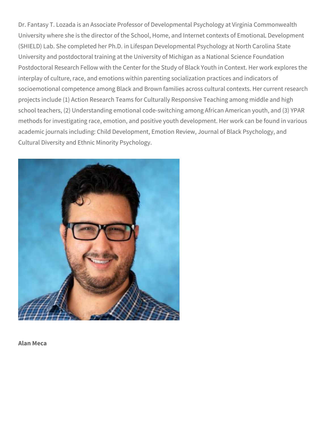Dr. Fantasy T. Lozada is an Associate Professor of Developmental Psychology at Virginia Commonwealth University where she is the director of the School, Home, and Internet contexts of EmotionaL Development (SHIELD) Lab. She completed her Ph.D. in Lifespan Developmental Psychology at North Carolina State University and postdoctoral training at the University of Michigan as a National Science Foundation Postdoctoral Research Fellow with the Center for the Study of Black Youth in Context. Her work explores the interplay of culture, race, and emotions within parenting socialization practices and indicators of socioemotional competence among Black and Brown families across cultural contexts. Her current research projects include (1) Action Research Teams for Culturally Responsive Teaching among middle and high school teachers, (2) Understanding emotional code-switching among African American youth, and (3) YPAR methods for investigating race, emotion, and positive youth development. Her work can be found in various academic journals including: Child Development, Emotion Review, Journal of Black Psychology, and Cultural Diversity and Ethnic Minority Psychology.



**Alan Meca**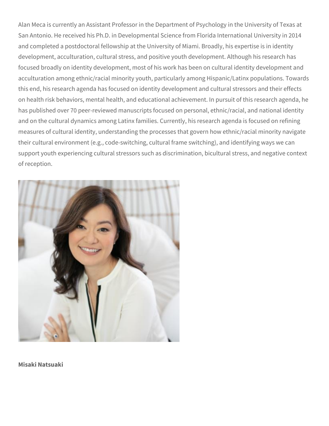Alan Meca is currently an Assistant Professor in the Department of Psychology in the University of Texas at San Antonio. He received his Ph.D. in Developmental Science from Florida International University in 2014 and completed a postdoctoral fellowship at the University of Miami. Broadly, his expertise is in identity development, acculturation, cultural stress, and positive youth development. Although his research has focused broadly on identity development, most of his work has been on cultural identity development and acculturation among ethnic/racial minority youth, particularly among Hispanic/Latinx populations. Towards this end, his research agenda has focused on identity development and cultural stressors and their effects on health risk behaviors, mental health, and educational achievement. In pursuit of this research agenda, he has published over 70 peer-reviewed manuscripts focused on personal, ethnic/racial, and national identity and on the cultural dynamics among Latinx families. Currently, his research agenda is focused on refining measures of cultural identity, understanding the processes that govern how ethnic/racial minority navigate their cultural environment (e.g., code-switching, cultural frame switching), and identifying ways we can support youth experiencing cultural stressors such as discrimination, bicultural stress, and negative context of reception.



**Misaki Natsuaki**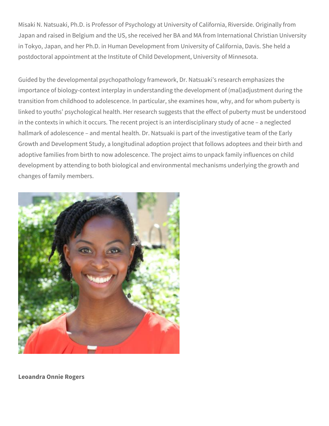Misaki N. Natsuaki, Ph.D. is Professor of Psychology at University of California, Riverside. Originally from Japan and raised in Belgium and the US, she received her BA and MA from International Christian University in Tokyo, Japan, and her Ph.D. in Human Development from University of California, Davis. She held a postdoctoral appointment at the Institute of Child Development, University of Minnesota.

Guided by the developmental psychopathology framework, Dr. Natsuaki's research emphasizes the importance of biology-context interplay in understanding the development of (mal)adjustment during the transition from childhood to adolescence. In particular, she examines how, why, and for whom puberty is linked to youths' psychological health. Her research suggests that the effect of puberty must be understood in the contexts in which it occurs. The recent project is an interdisciplinary study of acne – a neglected hallmark of adolescence – and mental health. Dr. Natsuaki is part of the investigative team of the Early Growth and Development Study, a longitudinal adoption project that follows adoptees and their birth and adoptive families from birth to now adolescence. The project aims to unpack family influences on child development by attending to both biological and environmental mechanisms underlying the growth and changes of family members.



**Leoandra Onnie Rogers**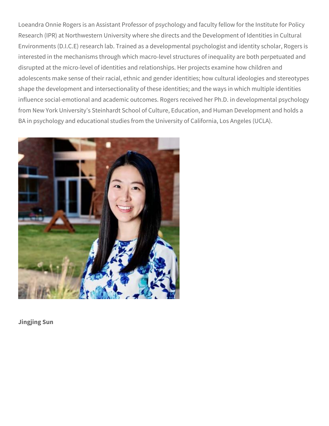Loeandra Onnie Rogers is an Assistant Professor of psychology and faculty fellow for the Institute for Policy Research (IPR) at Northwestern University where she directs and the Development of Identities in Cultural Environments (D.I.C.E) research lab. Trained as a developmental psychologist and identity scholar, Rogers is interested in the mechanisms through which macro-level structures of inequality are both perpetuated and disrupted at the micro-level of identities and relationships. Her projects examine how children and adolescents make sense of their racial, ethnic and gender identities; how cultural ideologies and stereotypes shape the development and intersectionality of these identities; and the ways in which multiple identities influence social-emotional and academic outcomes. Rogers received her Ph.D. in developmental psychology from New York University's Steinhardt School of Culture, Education, and Human Development and holds a BA in psychology and educational studies from the University of California, Los Angeles (UCLA).



**Jingjing Sun**